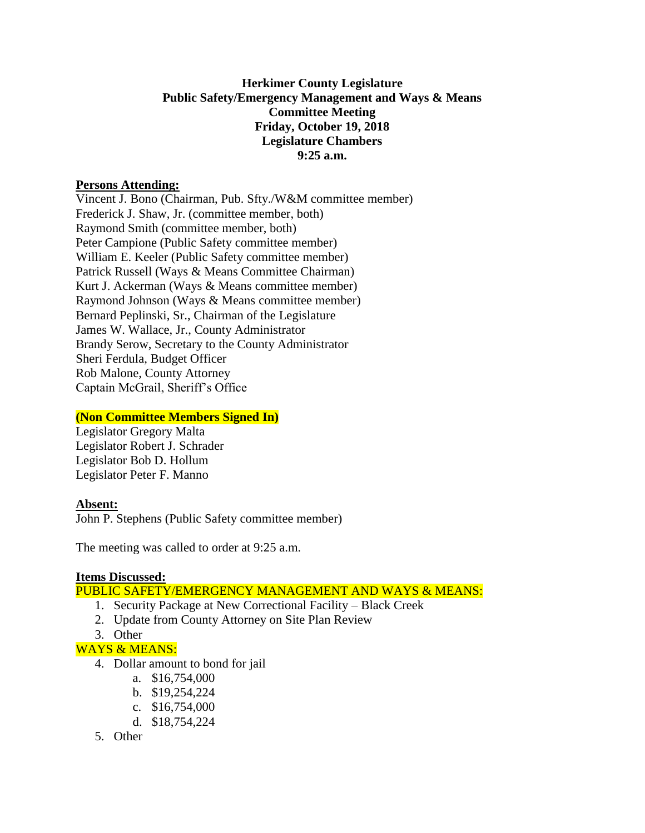## **Herkimer County Legislature Public Safety/Emergency Management and Ways & Means Committee Meeting Friday, October 19, 2018 Legislature Chambers 9:25 a.m.**

#### **Persons Attending:**

Vincent J. Bono (Chairman, Pub. Sfty./W&M committee member) Frederick J. Shaw, Jr. (committee member, both) Raymond Smith (committee member, both) Peter Campione (Public Safety committee member) William E. Keeler (Public Safety committee member) Patrick Russell (Ways & Means Committee Chairman) Kurt J. Ackerman (Ways & Means committee member) Raymond Johnson (Ways & Means committee member) Bernard Peplinski, Sr., Chairman of the Legislature James W. Wallace, Jr., County Administrator Brandy Serow, Secretary to the County Administrator Sheri Ferdula, Budget Officer Rob Malone, County Attorney Captain McGrail, Sheriff's Office

# **(Non Committee Members Signed In)**

Legislator Gregory Malta Legislator Robert J. Schrader Legislator Bob D. Hollum Legislator Peter F. Manno

# **Absent:**

John P. Stephens (Public Safety committee member)

The meeting was called to order at 9:25 a.m.

#### **Items Discussed:**

PUBLIC SAFETY/EMERGENCY MANAGEMENT AND WAYS & MEANS:

- 1. Security Package at New Correctional Facility Black Creek
- 2. Update from County Attorney on Site Plan Review
- 3. Other
- WAYS & MEANS:
	- 4. Dollar amount to bond for jail
		- a. \$16,754,000
		- b. \$19,254,224
		- c. \$16,754,000
		- d. \$18,754,224
	- 5. Other